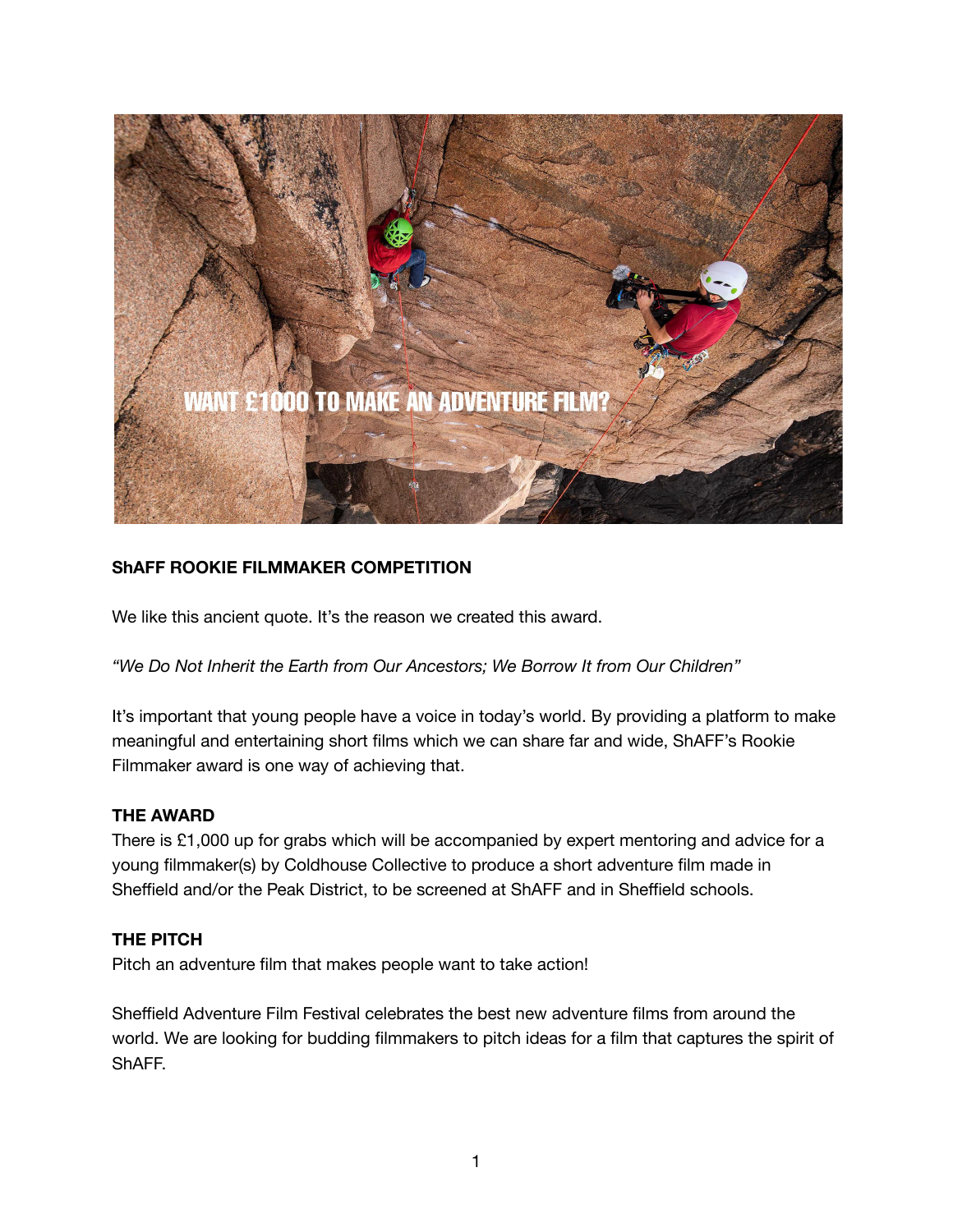

## **ShAFF ROOKIE FILMMAKER COMPETITION**

We like this ancient quote. It's the reason we created this award.

*"We Do Not Inherit the Earth from Our Ancestors; We Borrow It from Our Children"*

It's important that young people have a voice in today's world. By providing a platform to make meaningful and entertaining short films which we can share far and wide, ShAFF's Rookie Filmmaker award is one way of achieving that.

## **THE AWARD**

There is £1,000 up for grabs which will be accompanied by expert mentoring and advice for a young filmmaker(s) by Coldhouse Collective to produce a short adventure film made in Sheffield and/or the Peak District, to be screened at ShAFF and in Sheffield schools.

#### **THE PITCH**

Pitch an adventure film that makes people want to take action!

Sheffield Adventure Film Festival celebrates the best new adventure films from around the world. We are looking for budding filmmakers to pitch ideas for a film that captures the spirit of ShAFF.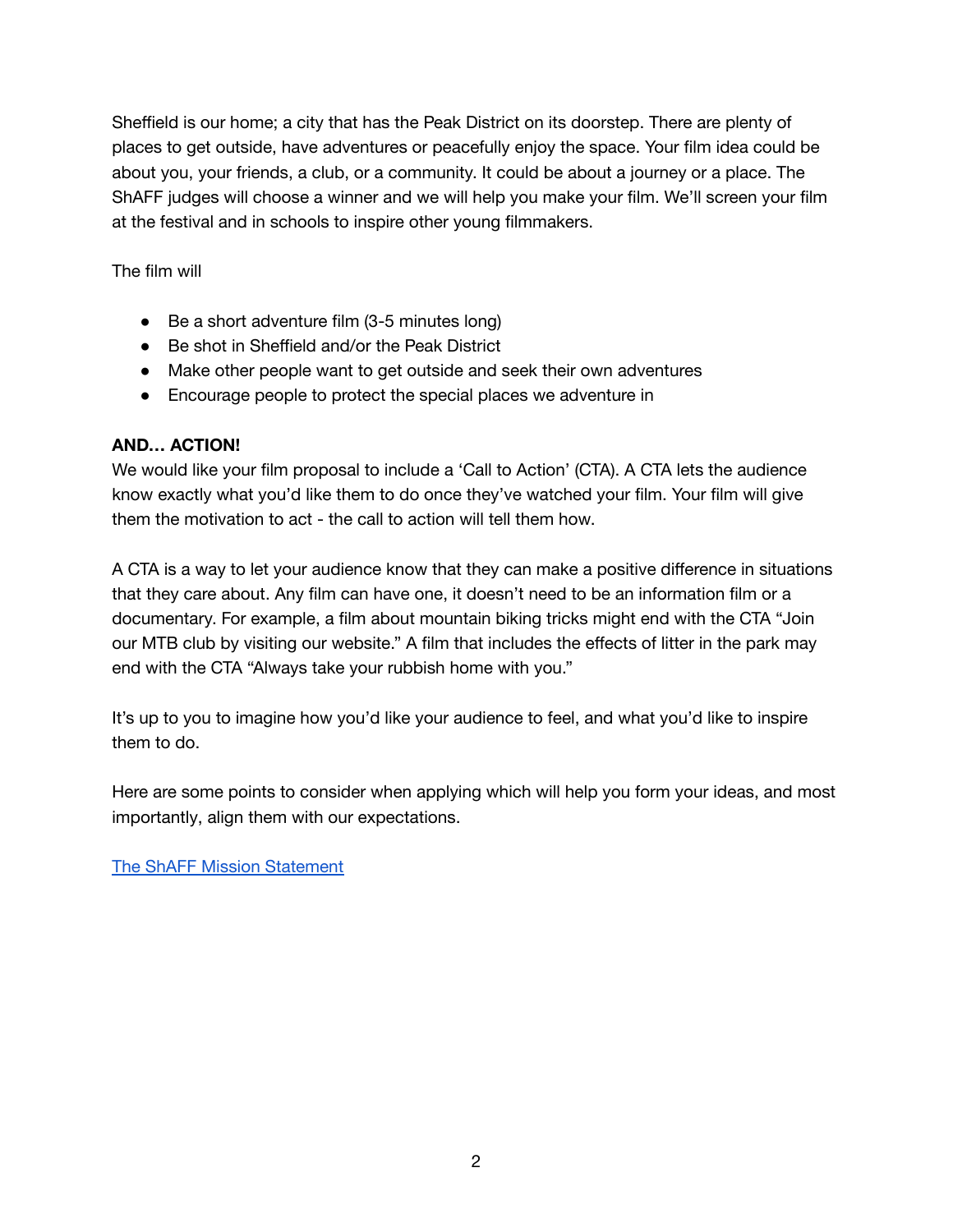Sheffield is our home; a city that has the Peak District on its doorstep. There are plenty of places to get outside, have adventures or peacefully enjoy the space. Your film idea could be about you, your friends, a club, or a community. It could be about a journey or a place. The ShAFF judges will choose a winner and we will help you make your film. We'll screen your film at the festival and in schools to inspire other young filmmakers.

The film will

- Be a short adventure film (3-5 minutes long)
- Be shot in Sheffield and/or the Peak District
- Make other people want to get outside and seek their own adventures
- Encourage people to protect the special places we adventure in

## **AND… ACTION!**

We would like your film proposal to include a 'Call to Action' (CTA). A CTA lets the audience know exactly what you'd like them to do once they've watched your film. Your film will give them the motivation to act - the call to action will tell them how.

A CTA is a way to let your audience know that they can make a positive difference in situations that they care about. Any film can have one, it doesn't need to be an information film or a documentary. For example, a film about mountain biking tricks might end with the CTA "Join our MTB club by visiting our website." A film that includes the effects of litter in the park may end with the CTA "Always take your rubbish home with you."

It's up to you to imagine how you'd like your audience to feel, and what you'd like to inspire them to do.

Here are some points to consider when applying which will help you form your ideas, and most importantly, align them with our expectations.

The ShAFF Mission [Statement](https://shaff.co.uk/shaff22/our-mission?cp=%2Fshaff22%2Fabout-shaff)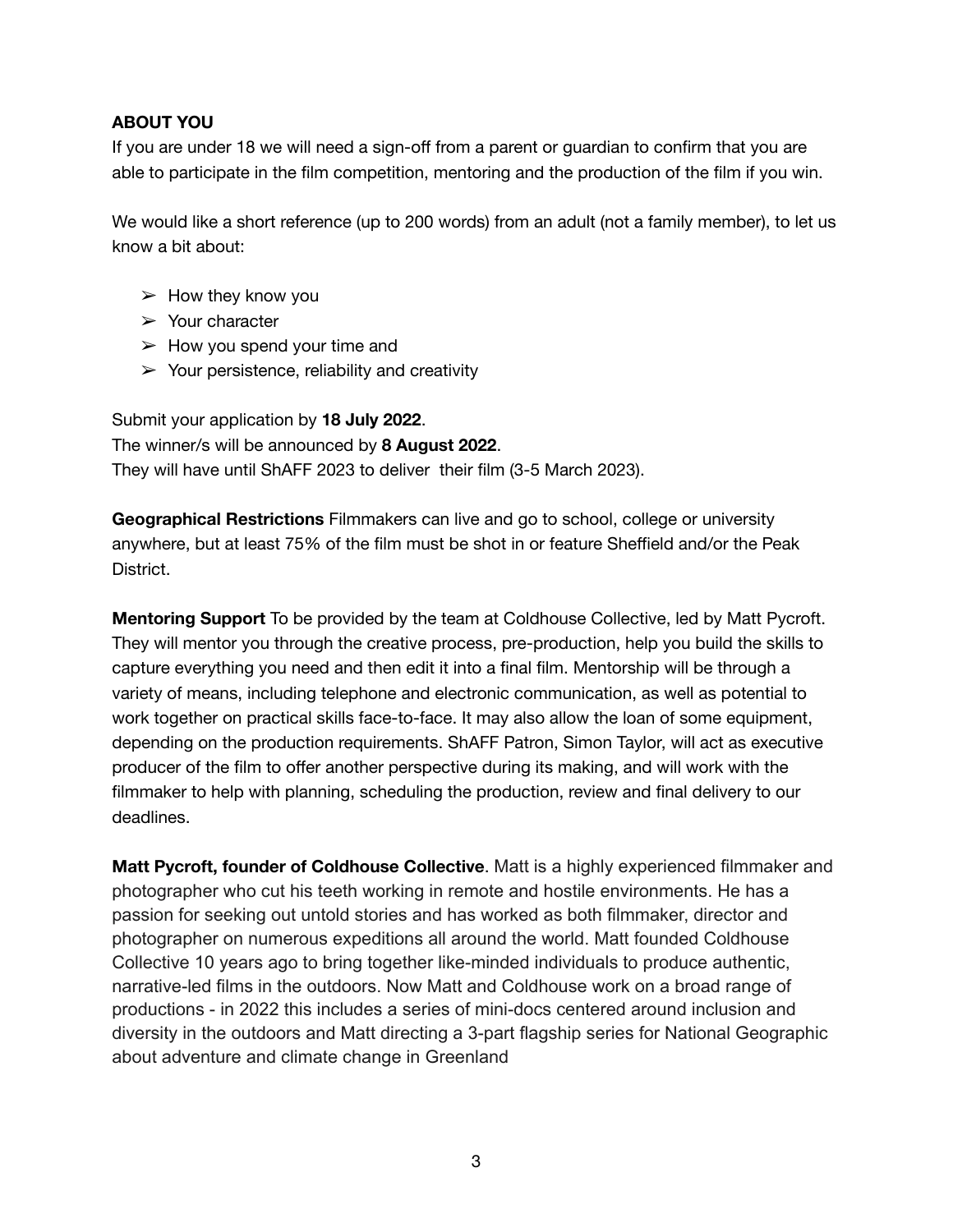## **ABOUT YOU**

If you are under 18 we will need a sign-off from a parent or guardian to confirm that you are able to participate in the film competition, mentoring and the production of the film if you win.

We would like a short reference (up to 200 words) from an adult (not a family member), to let us know a bit about:

- $\triangleright$  How they know you
- $\triangleright$  Your character
- $\triangleright$  How you spend your time and
- $\triangleright$  Your persistence, reliability and creativity

Submit your application by **18 July 2022**. The winner/s will be announced by **8 August 2022**. They will have until ShAFF 2023 to deliver their film (3-5 March 2023).

**Geographical Restrictions** Filmmakers can live and go to school, college or university anywhere, but at least 75% of the film must be shot in or feature Sheffield and/or the Peak District.

**Mentoring Support** To be provided by the team at Coldhouse Collective, led by Matt Pycroft. They will mentor you through the creative process, pre-production, help you build the skills to capture everything you need and then edit it into a final film. Mentorship will be through a variety of means, including telephone and electronic communication, as well as potential to work together on practical skills face-to-face. It may also allow the loan of some equipment, depending on the production requirements. ShAFF Patron, Simon Taylor, will act as executive producer of the film to offer another perspective during its making, and will work with the filmmaker to help with planning, scheduling the production, review and final delivery to our deadlines.

**Matt Pycroft, founder of Coldhouse Collective**. Matt is a highly experienced filmmaker and photographer who cut his teeth working in remote and hostile environments. He has a passion for seeking out untold stories and has worked as both filmmaker, director and photographer on numerous expeditions all around the world. Matt founded Coldhouse Collective 10 years ago to bring together like-minded individuals to produce authentic, narrative-led films in the outdoors. Now Matt and Coldhouse work on a broad range of productions - in 2022 this includes a series of mini-docs centered around inclusion and diversity in the outdoors and Matt directing a 3-part flagship series for National Geographic about adventure and climate change in Greenland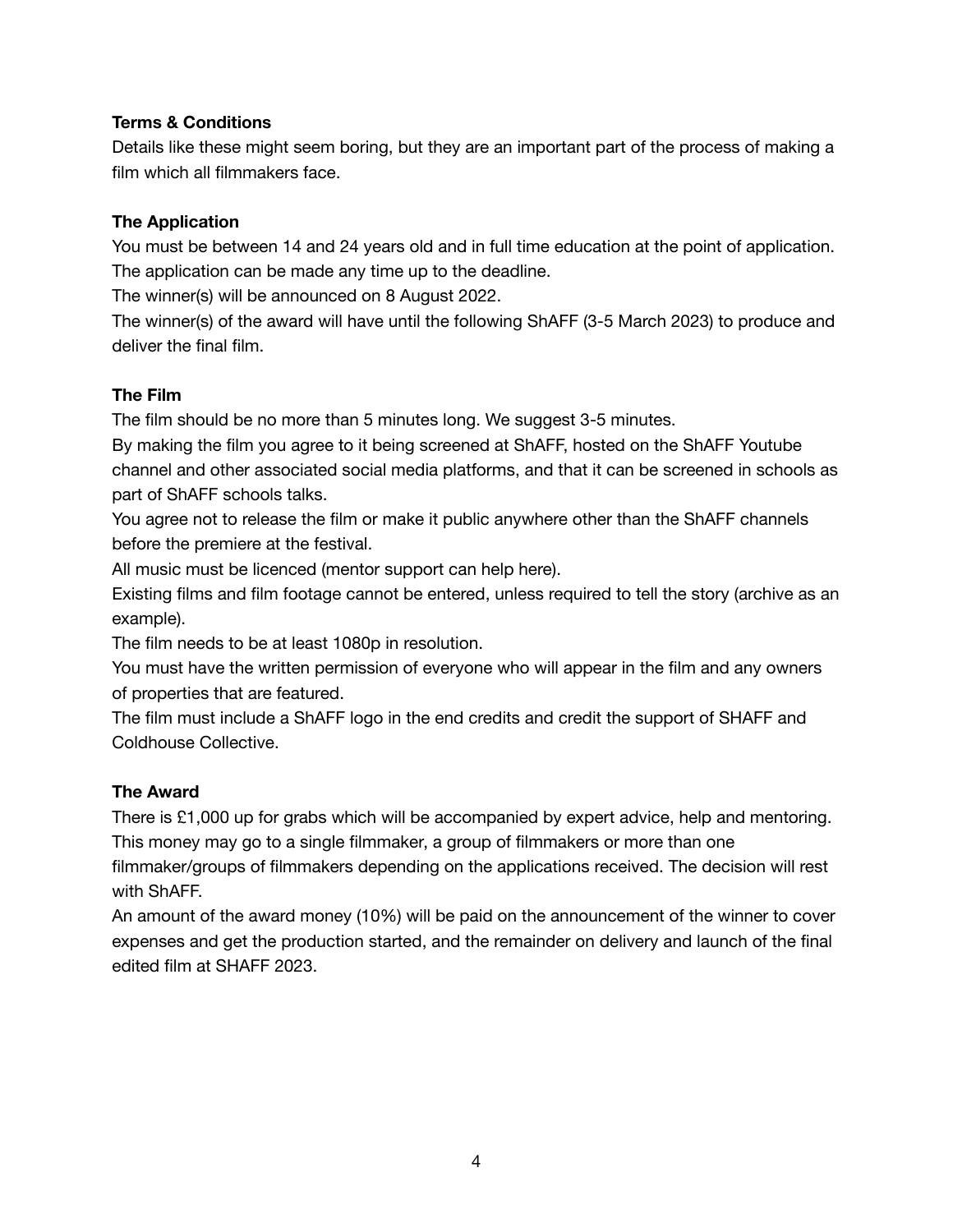## **Terms & Conditions**

Details like these might seem boring, but they are an important part of the process of making a film which all filmmakers face.

## **The Application**

You must be between 14 and 24 years old and in full time education at the point of application. The application can be made any time up to the deadline.

The winner(s) will be announced on 8 August 2022.

The winner(s) of the award will have until the following ShAFF (3-5 March 2023) to produce and deliver the final film.

## **The Film**

The film should be no more than 5 minutes long. We suggest 3-5 minutes.

By making the film you agree to it being screened at ShAFF, hosted on the ShAFF Youtube channel and other associated social media platforms, and that it can be screened in schools as part of ShAFF schools talks.

You agree not to release the film or make it public anywhere other than the ShAFF channels before the premiere at the festival.

All music must be licenced (mentor support can help here).

Existing films and film footage cannot be entered, unless required to tell the story (archive as an example).

The film needs to be at least 1080p in resolution.

You must have the written permission of everyone who will appear in the film and any owners of properties that are featured.

The film must include a ShAFF logo in the end credits and credit the support of SHAFF and Coldhouse Collective.

# **The Award**

There is £1,000 up for grabs which will be accompanied by expert advice, help and mentoring. This money may go to a single filmmaker, a group of filmmakers or more than one

filmmaker/groups of filmmakers depending on the applications received. The decision will rest with ShAFF.

An amount of the award money (10%) will be paid on the announcement of the winner to cover expenses and get the production started, and the remainder on delivery and launch of the final edited film at SHAFF 2023.